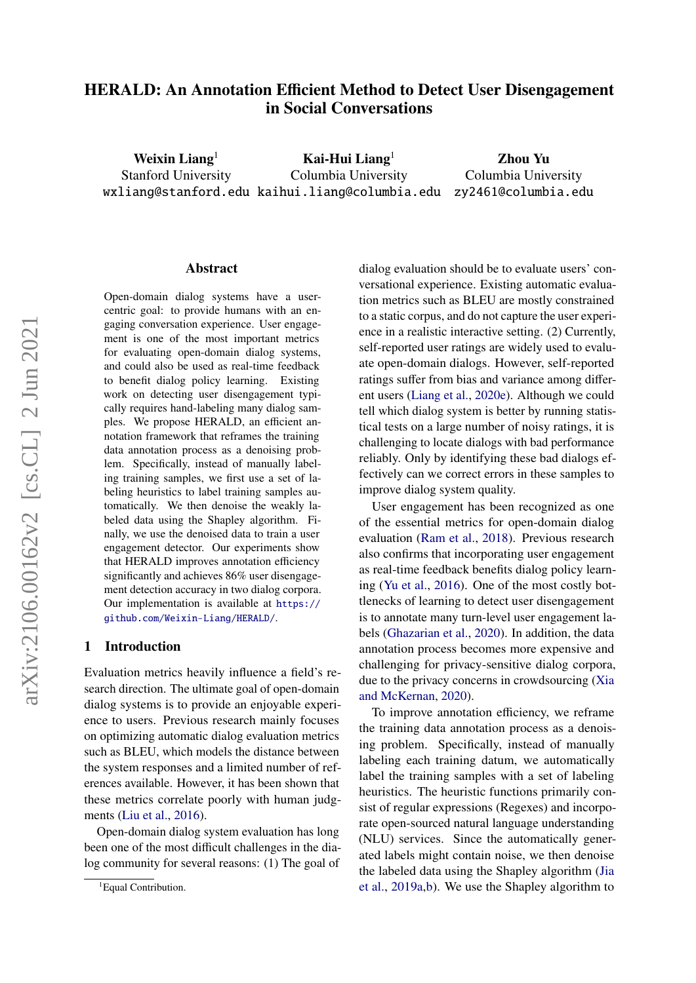# HERALD: An Annotation Efficient Method to Detect User Disengagement in Social Conversations

Weixin Liang $<sup>1</sup>$ </sup> Stanford University wxliang@stanford.edu kaihui.liang@columbia.edu Kai-Hui Liang $<sup>1</sup>$ </sup> Columbia University

Zhou Yu Columbia University zy2461@columbia.edu

#### Abstract

Open-domain dialog systems have a usercentric goal: to provide humans with an engaging conversation experience. User engagement is one of the most important metrics for evaluating open-domain dialog systems, and could also be used as real-time feedback to benefit dialog policy learning. Existing work on detecting user disengagement typically requires hand-labeling many dialog samples. We propose HERALD, an efficient annotation framework that reframes the training data annotation process as a denoising problem. Specifically, instead of manually labeling training samples, we first use a set of labeling heuristics to label training samples automatically. We then denoise the weakly labeled data using the Shapley algorithm. Finally, we use the denoised data to train a user engagement detector. Our experiments show that HERALD improves annotation efficiency significantly and achieves 86% user disengagement detection accuracy in two dialog corpora. Our implementation is available at [https://](https://github.com/Weixin-Liang/HERALD/) [github.com/Weixin-Liang/HERALD/](https://github.com/Weixin-Liang/HERALD/).

#### 1 Introduction

Evaluation metrics heavily influence a field's research direction. The ultimate goal of open-domain dialog systems is to provide an enjoyable experience to users. Previous research mainly focuses on optimizing automatic dialog evaluation metrics such as BLEU, which models the distance between the system responses and a limited number of references available. However, it has been shown that these metrics correlate poorly with human judgments [\(Liu et al.,](#page-10-0) [2016\)](#page-10-0).

Open-domain dialog system evaluation has long been one of the most difficult challenges in the dialog community for several reasons: (1) The goal of dialog evaluation should be to evaluate users' conversational experience. Existing automatic evaluation metrics such as BLEU are mostly constrained to a static corpus, and do not capture the user experience in a realistic interactive setting. (2) Currently, self-reported user ratings are widely used to evaluate open-domain dialogs. However, self-reported ratings suffer from bias and variance among different users [\(Liang et al.,](#page-10-1) [2020e\)](#page-10-1). Although we could tell which dialog system is better by running statistical tests on a large number of noisy ratings, it is challenging to locate dialogs with bad performance reliably. Only by identifying these bad dialogs effectively can we correct errors in these samples to improve dialog system quality.

User engagement has been recognized as one of the essential metrics for open-domain dialog evaluation [\(Ram et al.,](#page-10-2) [2018\)](#page-10-2). Previous research also confirms that incorporating user engagement as real-time feedback benefits dialog policy learning [\(Yu et al.,](#page-11-0) [2016\)](#page-11-0). One of the most costly bottlenecks of learning to detect user disengagement is to annotate many turn-level user engagement labels [\(Ghazarian et al.,](#page-9-0) [2020\)](#page-9-0). In addition, the data annotation process becomes more expensive and challenging for privacy-sensitive dialog corpora, due to the privacy concerns in crowdsourcing [\(Xia](#page-11-1) [and McKernan,](#page-11-1) [2020\)](#page-11-1).

To improve annotation efficiency, we reframe the training data annotation process as a denoising problem. Specifically, instead of manually labeling each training datum, we automatically label the training samples with a set of labeling heuristics. The heuristic functions primarily consist of regular expressions (Regexes) and incorporate open-sourced natural language understanding (NLU) services. Since the automatically generated labels might contain noise, we then denoise the labeled data using the Shapley algorithm [\(Jia](#page-9-1) [et al.,](#page-9-1) [2019a,](#page-9-1)[b\)](#page-9-2). We use the Shapley algorithm to

<sup>&</sup>lt;sup>1</sup>Equal Contribution.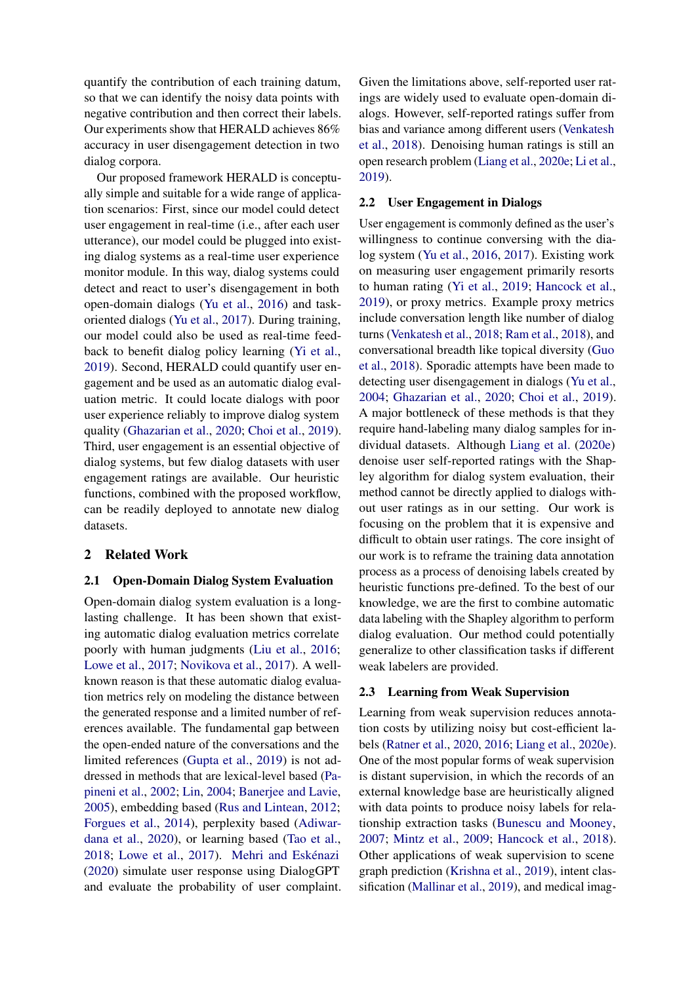quantify the contribution of each training datum, so that we can identify the noisy data points with negative contribution and then correct their labels. Our experiments show that HERALD achieves 86% accuracy in user disengagement detection in two dialog corpora.

Our proposed framework HERALD is conceptually simple and suitable for a wide range of application scenarios: First, since our model could detect user engagement in real-time (i.e., after each user utterance), our model could be plugged into existing dialog systems as a real-time user experience monitor module. In this way, dialog systems could detect and react to user's disengagement in both open-domain dialogs [\(Yu et al.,](#page-11-0) [2016\)](#page-11-0) and taskoriented dialogs [\(Yu et al.,](#page-11-2) [2017\)](#page-11-2). During training, our model could also be used as real-time feedback to benefit dialog policy learning [\(Yi et al.,](#page-11-3) [2019\)](#page-11-3). Second, HERALD could quantify user engagement and be used as an automatic dialog evaluation metric. It could locate dialogs with poor user experience reliably to improve dialog system quality [\(Ghazarian et al.,](#page-9-0) [2020;](#page-9-0) [Choi et al.,](#page-9-3) [2019\)](#page-9-3). Third, user engagement is an essential objective of dialog systems, but few dialog datasets with user engagement ratings are available. Our heuristic functions, combined with the proposed workflow, can be readily deployed to annotate new dialog datasets.

### 2 Related Work

#### 2.1 Open-Domain Dialog System Evaluation

Open-domain dialog system evaluation is a longlasting challenge. It has been shown that existing automatic dialog evaluation metrics correlate poorly with human judgments [\(Liu et al.,](#page-10-0) [2016;](#page-10-0) [Lowe et al.,](#page-10-3) [2017;](#page-10-3) [Novikova et al.,](#page-10-4) [2017\)](#page-10-4). A wellknown reason is that these automatic dialog evaluation metrics rely on modeling the distance between the generated response and a limited number of references available. The fundamental gap between the open-ended nature of the conversations and the limited references [\(Gupta et al.,](#page-9-4) [2019\)](#page-9-4) is not addressed in methods that are lexical-level based [\(Pa](#page-10-5)[pineni et al.,](#page-10-5) [2002;](#page-10-5) [Lin,](#page-10-6) [2004;](#page-10-6) [Banerjee and Lavie,](#page-8-0) [2005\)](#page-8-0), embedding based [\(Rus and Lintean,](#page-10-7) [2012;](#page-10-7) [Forgues et al.,](#page-9-5) [2014\)](#page-9-5), perplexity based [\(Adiwar](#page-8-1)[dana et al.,](#page-8-1) [2020\)](#page-8-1), or learning based [\(Tao et al.,](#page-10-8) [2018;](#page-10-8) [Lowe et al.,](#page-10-3) [2017\)](#page-10-3). [Mehri and Eskénazi](#page-10-9) [\(2020\)](#page-10-9) simulate user response using DialogGPT and evaluate the probability of user complaint.

Given the limitations above, self-reported user ratings are widely used to evaluate open-domain dialogs. However, self-reported ratings suffer from bias and variance among different users [\(Venkatesh](#page-10-10) [et al.,](#page-10-10) [2018\)](#page-10-10). Denoising human ratings is still an open research problem [\(Liang et al.,](#page-10-1) [2020e;](#page-10-1) [Li et al.,](#page-9-6) [2019\)](#page-9-6).

#### 2.2 User Engagement in Dialogs

User engagement is commonly defined as the user's willingness to continue conversing with the dialog system [\(Yu et al.,](#page-11-0) [2016,](#page-11-0) [2017\)](#page-11-2). Existing work on measuring user engagement primarily resorts to human rating [\(Yi et al.,](#page-11-3) [2019;](#page-11-3) [Hancock et al.,](#page-9-7) [2019\)](#page-9-7), or proxy metrics. Example proxy metrics include conversation length like number of dialog turns [\(Venkatesh et al.,](#page-10-10) [2018;](#page-10-10) [Ram et al.,](#page-10-2) [2018\)](#page-10-2), and conversational breadth like topical diversity [\(Guo](#page-9-8) [et al.,](#page-9-8) [2018\)](#page-9-8). Sporadic attempts have been made to detecting user disengagement in dialogs [\(Yu et al.,](#page-11-4) [2004;](#page-11-4) [Ghazarian et al.,](#page-9-0) [2020;](#page-9-0) [Choi et al.,](#page-9-3) [2019\)](#page-9-3). A major bottleneck of these methods is that they require hand-labeling many dialog samples for individual datasets. Although [Liang et al.](#page-10-1) [\(2020e\)](#page-10-1) denoise user self-reported ratings with the Shapley algorithm for dialog system evaluation, their method cannot be directly applied to dialogs without user ratings as in our setting. Our work is focusing on the problem that it is expensive and difficult to obtain user ratings. The core insight of our work is to reframe the training data annotation process as a process of denoising labels created by heuristic functions pre-defined. To the best of our knowledge, we are the first to combine automatic data labeling with the Shapley algorithm to perform dialog evaluation. Our method could potentially generalize to other classification tasks if different weak labelers are provided.

#### 2.3 Learning from Weak Supervision

Learning from weak supervision reduces annotation costs by utilizing noisy but cost-efficient labels [\(Ratner et al.,](#page-10-11) [2020,](#page-10-11) [2016;](#page-10-12) [Liang et al.,](#page-10-1) [2020e\)](#page-10-1). One of the most popular forms of weak supervision is distant supervision, in which the records of an external knowledge base are heuristically aligned with data points to produce noisy labels for relationship extraction tasks [\(Bunescu and Mooney,](#page-9-9) [2007;](#page-9-9) [Mintz et al.,](#page-10-13) [2009;](#page-10-13) [Hancock et al.,](#page-9-10) [2018\)](#page-9-10). Other applications of weak supervision to scene graph prediction [\(Krishna et al.,](#page-9-11) [2019\)](#page-9-11), intent classification [\(Mallinar et al.,](#page-10-14) [2019\)](#page-10-14), and medical imag-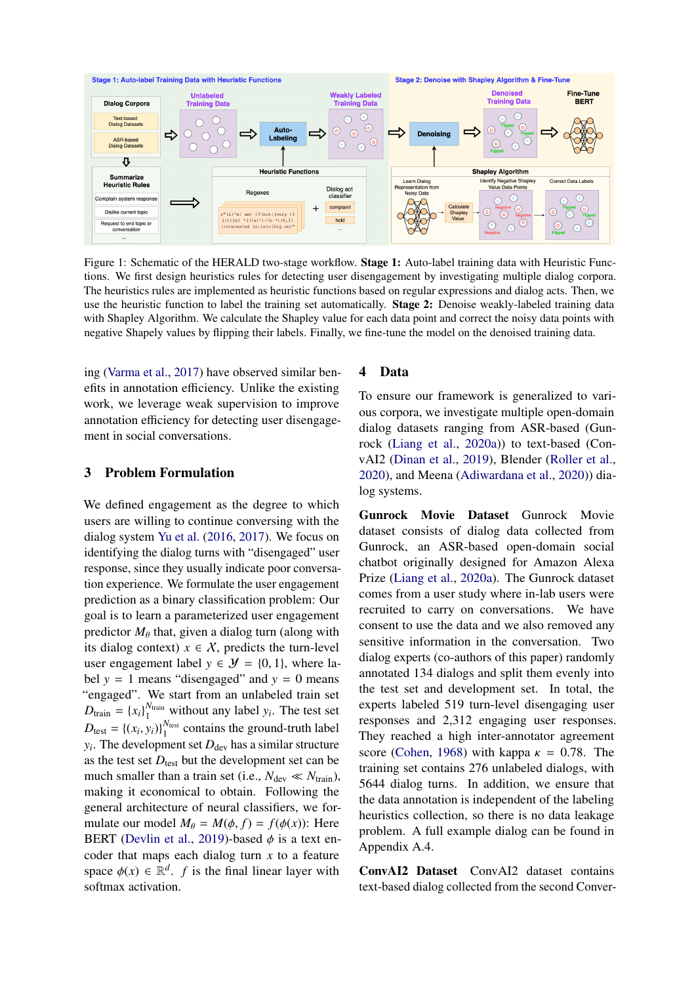<span id="page-2-0"></span>

Figure 1: Schematic of the HERALD two-stage workflow. Stage 1: Auto-label training data with Heuristic Functions. We first design heuristics rules for detecting user disengagement by investigating multiple dialog corpora. The heuristics rules are implemented as heuristic functions based on regular expressions and dialog acts. Then, we use the heuristic function to label the training set automatically. **Stage 2:** Denoise weakly-labeled training data with Shapley Algorithm. We calculate the Shapley value for each data point and correct the noisy data points with negative Shapely values by flipping their labels. Finally, we fine-tune the model on the denoised training data.

ing [\(Varma et al.,](#page-10-15) [2017\)](#page-10-15) have observed similar benefits in annotation efficiency. Unlike the existing work, we leverage weak supervision to improve annotation efficiency for detecting user disengagement in social conversations.

## 3 Problem Formulation

We defined engagement as the degree to which users are willing to continue conversing with the dialog system [Yu et al.](#page-11-0) [\(2016,](#page-11-0) [2017\)](#page-11-2). We focus on identifying the dialog turns with "disengaged" user response, since they usually indicate poor conversation experience. We formulate the user engagement prediction as a binary classification problem: Our goal is to learn a parameterized user engagement predictor  $M_{\theta}$  that, given a dialog turn (along with its dialog context)  $x \in X$ , predicts the turn-level user engagement label  $y \in \mathcal{Y} = \{0, 1\}$ , where label  $y = 1$  means "disengaged" and  $y = 0$  means "engaged". We start from an unlabeled train set  $D_{\text{train}} = \{x_i\}_{1}^{N_{\text{train}}}$  without any label  $y_i$ . The test set  $D_{\text{test}} = \{(x_i, y_i)\}_{1}^{N_{\text{test}}}$ <br>*v*<sub>*i*</sub> The development  $_1^{\prime\prime_{\text{test}}}$  contains the ground-truth label  $y_i$ . The development set  $D_{\text{dev}}$  has a similar structure as the test set  $D_{\text{test}}$  but the development set can be much smaller than a train set (i.e.,  $N_{\text{dev}} \ll N_{\text{train}}$ ), making it economical to obtain. Following the general architecture of neural classifiers, we formulate our model  $M_{\theta} = M(\phi, f) = f(\phi(x))$ : Here BERT [\(Devlin et al.,](#page-9-12) [2019\)](#page-9-12)-based  $\phi$  is a text encoder that maps each dialog turn *x* to a feature space  $\phi(x) \in \mathbb{R}^d$ . *f* is the final linear layer with softmax activation. softmax activation.

### 4 Data

To ensure our framework is generalized to various corpora, we investigate multiple open-domain dialog datasets ranging from ASR-based (Gunrock [\(Liang et al.,](#page-9-13) [2020a\)](#page-9-13)) to text-based (ConvAI2 [\(Dinan et al.,](#page-9-14) [2019\)](#page-9-14), Blender [\(Roller et al.,](#page-10-16) [2020\)](#page-10-16), and Meena [\(Adiwardana et al.,](#page-8-1) [2020\)](#page-8-1)) dialog systems.

Gunrock Movie Dataset Gunrock Movie dataset consists of dialog data collected from Gunrock, an ASR-based open-domain social chatbot originally designed for Amazon Alexa Prize [\(Liang et al.,](#page-9-13) [2020a\)](#page-9-13). The Gunrock dataset comes from a user study where in-lab users were recruited to carry on conversations. We have consent to use the data and we also removed any sensitive information in the conversation. Two dialog experts (co-authors of this paper) randomly annotated 134 dialogs and split them evenly into the test set and development set. In total, the experts labeled 519 turn-level disengaging user responses and 2,312 engaging user responses. They reached a high inter-annotator agreement score [\(Cohen,](#page-9-15) [1968\)](#page-9-15) with kappa  $\kappa = 0.78$ . The training set contains 276 unlabeled dialogs, with 5644 dialog turns. In addition, we ensure that the data annotation is independent of the labeling heuristics collection, so there is no data leakage problem. A full example dialog can be found in Appendix A.4.

ConvAI2 Dataset ConvAI2 dataset contains text-based dialog collected from the second Conver-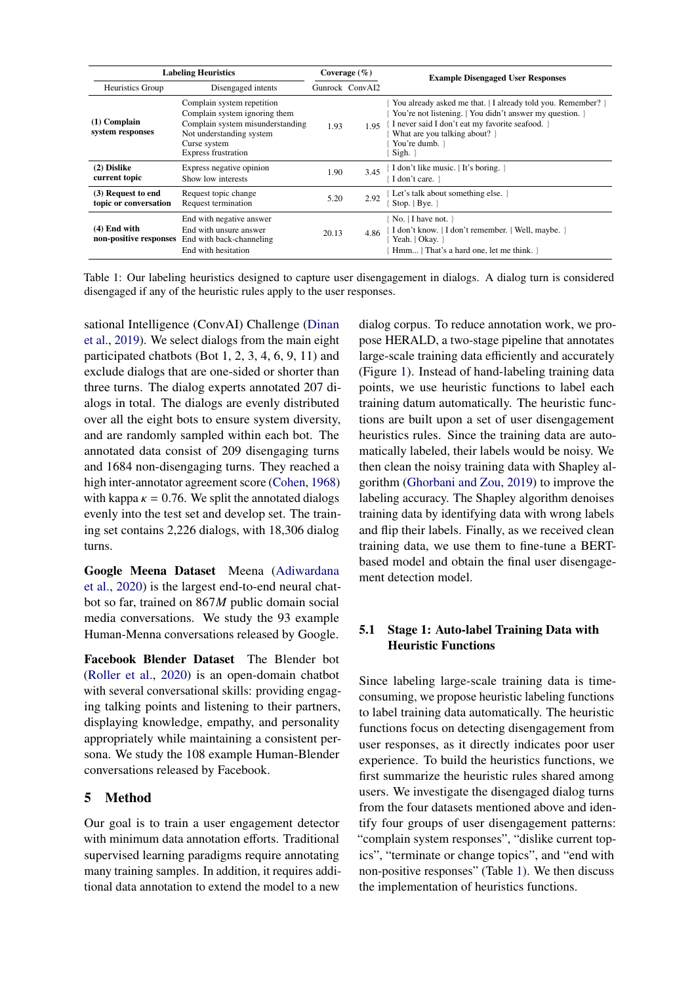<span id="page-3-0"></span>

| <b>Labeling Heuristics</b>                  |                                                                                                                                                                           |       | Coverage $(\% )$ | <b>Example Disengaged User Responses</b>                                                                                                                                                                                            |  |
|---------------------------------------------|---------------------------------------------------------------------------------------------------------------------------------------------------------------------------|-------|------------------|-------------------------------------------------------------------------------------------------------------------------------------------------------------------------------------------------------------------------------------|--|
| Heuristics Group                            | Disengaged intents                                                                                                                                                        |       | Gunrock ConvAI2  |                                                                                                                                                                                                                                     |  |
| (1) Complain<br>system responses            | Complain system repetition<br>Complain system ignoring them<br>Complain system misunderstanding<br>Not understanding system<br>Curse system<br><b>Express frustration</b> | 1.93  | 1.95             | You already asked me that.   I already told you. Remember? }<br>You're not listening.   You didn't answer my question.  <br>I never said I don't eat my favorite seafood. }<br>What are you talking about?<br>You're dumb.<br>Sigh. |  |
| (2) Dislike<br>current topic                | Express negative opinion<br>Show low interests                                                                                                                            | 1.90  | 3.45             | I don't like music.   It's boring.  <br>I don't care.                                                                                                                                                                               |  |
| (3) Request to end<br>topic or conversation | Request topic change<br>Request termination                                                                                                                               | 5.20  | 2.92             | Let's talk about something else.<br>Stop.   Bve.                                                                                                                                                                                    |  |
| $(4)$ End with<br>non-positive responses    | End with negative answer<br>End with unsure answer<br>End with back-channeling<br>End with hesitation                                                                     | 20.13 | 4.86             | No. $ $ I have not. $ $<br>I don't know.   I don't remember.   Well, maybe.  <br>Yeah.   Okay.  <br>Hmm   That's a hard one, let me think.                                                                                          |  |

Table 1: Our labeling heuristics designed to capture user disengagement in dialogs. A dialog turn is considered disengaged if any of the heuristic rules apply to the user responses.

sational Intelligence (ConvAI) Challenge [\(Dinan](#page-9-14) [et al.,](#page-9-14) [2019\)](#page-9-14). We select dialogs from the main eight participated chatbots (Bot 1, 2, 3, 4, 6, 9, 11) and exclude dialogs that are one-sided or shorter than three turns. The dialog experts annotated 207 dialogs in total. The dialogs are evenly distributed over all the eight bots to ensure system diversity, and are randomly sampled within each bot. The annotated data consist of 209 disengaging turns and 1684 non-disengaging turns. They reached a high inter-annotator agreement score [\(Cohen,](#page-9-15) [1968\)](#page-9-15) with kappa  $\kappa = 0.76$ . We split the annotated dialogs evenly into the test set and develop set. The training set contains 2,226 dialogs, with 18,306 dialog turns.

Google Meena Dataset Meena [\(Adiwardana](#page-8-1) [et al.,](#page-8-1) [2020\)](#page-8-1) is the largest end-to-end neural chatbot so far, trained on 867*M* public domain social media conversations. We study the 93 example Human-Menna conversations released by Google.

Facebook Blender Dataset The Blender bot [\(Roller et al.,](#page-10-16) [2020\)](#page-10-16) is an open-domain chatbot with several conversational skills: providing engaging talking points and listening to their partners, displaying knowledge, empathy, and personality appropriately while maintaining a consistent persona. We study the 108 example Human-Blender conversations released by Facebook.

## 5 Method

Our goal is to train a user engagement detector with minimum data annotation efforts. Traditional supervised learning paradigms require annotating many training samples. In addition, it requires additional data annotation to extend the model to a new

dialog corpus. To reduce annotation work, we propose HERALD, a two-stage pipeline that annotates large-scale training data efficiently and accurately (Figure [1\)](#page-2-0). Instead of hand-labeling training data points, we use heuristic functions to label each training datum automatically. The heuristic functions are built upon a set of user disengagement heuristics rules. Since the training data are automatically labeled, their labels would be noisy. We then clean the noisy training data with Shapley algorithm [\(Ghorbani and Zou,](#page-9-16) [2019\)](#page-9-16) to improve the labeling accuracy. The Shapley algorithm denoises training data by identifying data with wrong labels and flip their labels. Finally, as we received clean training data, we use them to fine-tune a BERTbased model and obtain the final user disengagement detection model.

## 5.1 Stage 1: Auto-label Training Data with Heuristic Functions

Since labeling large-scale training data is timeconsuming, we propose heuristic labeling functions to label training data automatically. The heuristic functions focus on detecting disengagement from user responses, as it directly indicates poor user experience. To build the heuristics functions, we first summarize the heuristic rules shared among users. We investigate the disengaged dialog turns from the four datasets mentioned above and identify four groups of user disengagement patterns: "complain system responses", "dislike current topics", "terminate or change topics", and "end with non-positive responses" (Table [1\)](#page-3-0). We then discuss the implementation of heuristics functions.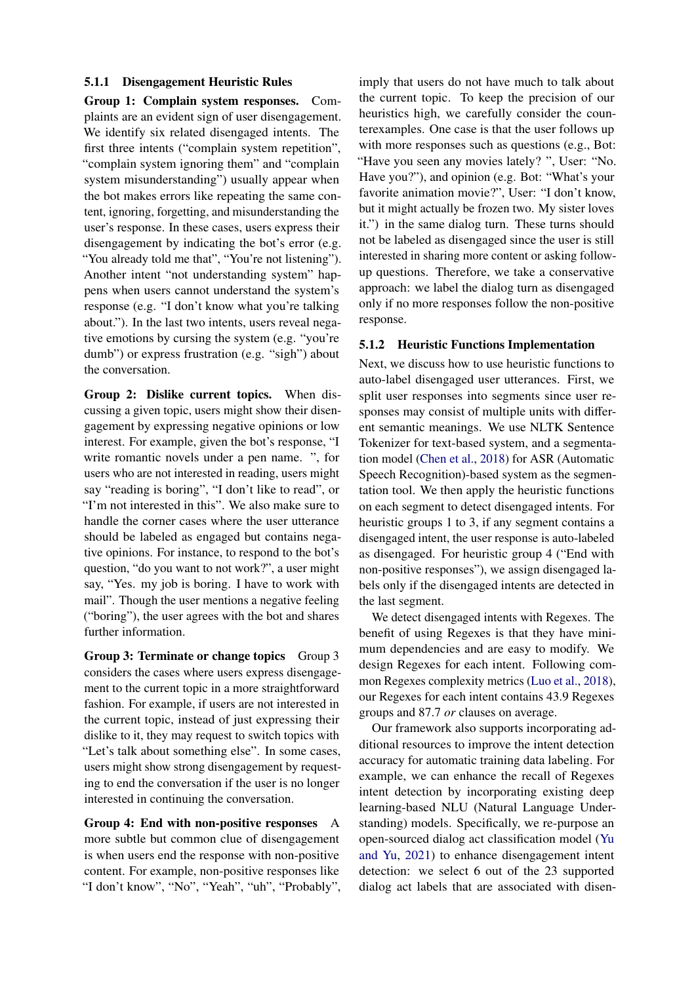#### 5.1.1 Disengagement Heuristic Rules

Group 1: Complain system responses. Complaints are an evident sign of user disengagement. We identify six related disengaged intents. The first three intents ("complain system repetition", "complain system ignoring them" and "complain system misunderstanding") usually appear when the bot makes errors like repeating the same content, ignoring, forgetting, and misunderstanding the user's response. In these cases, users express their disengagement by indicating the bot's error (e.g. "You already told me that", "You're not listening"). Another intent "not understanding system" happens when users cannot understand the system's response (e.g. "I don't know what you're talking about."). In the last two intents, users reveal negative emotions by cursing the system (e.g. "you're dumb") or express frustration (e.g. "sigh") about the conversation.

Group 2: Dislike current topics. When discussing a given topic, users might show their disengagement by expressing negative opinions or low interest. For example, given the bot's response, "I write romantic novels under a pen name. ", for users who are not interested in reading, users might say "reading is boring", "I don't like to read", or "I'm not interested in this". We also make sure to handle the corner cases where the user utterance should be labeled as engaged but contains negative opinions. For instance, to respond to the bot's question, "do you want to not work?", a user might say, "Yes. my job is boring. I have to work with mail". Though the user mentions a negative feeling ("boring"), the user agrees with the bot and shares further information.

Group 3: Terminate or change topics Group 3 considers the cases where users express disengagement to the current topic in a more straightforward fashion. For example, if users are not interested in the current topic, instead of just expressing their dislike to it, they may request to switch topics with "Let's talk about something else". In some cases, users might show strong disengagement by requesting to end the conversation if the user is no longer interested in continuing the conversation.

Group 4: End with non-positive responses A more subtle but common clue of disengagement is when users end the response with non-positive content. For example, non-positive responses like "I don't know", "No", "Yeah", "uh", "Probably",

imply that users do not have much to talk about the current topic. To keep the precision of our heuristics high, we carefully consider the counterexamples. One case is that the user follows up with more responses such as questions (e.g., Bot: "Have you seen any movies lately? ", User: "No. Have you?"), and opinion (e.g. Bot: "What's your favorite animation movie?", User: "I don't know, but it might actually be frozen two. My sister loves it.") in the same dialog turn. These turns should not be labeled as disengaged since the user is still interested in sharing more content or asking followup questions. Therefore, we take a conservative approach: we label the dialog turn as disengaged only if no more responses follow the non-positive response.

#### 5.1.2 Heuristic Functions Implementation

Next, we discuss how to use heuristic functions to auto-label disengaged user utterances. First, we split user responses into segments since user responses may consist of multiple units with different semantic meanings. We use NLTK Sentence Tokenizer for text-based system, and a segmentation model [\(Chen et al.,](#page-9-17) [2018\)](#page-9-17) for ASR (Automatic Speech Recognition)-based system as the segmentation tool. We then apply the heuristic functions on each segment to detect disengaged intents. For heuristic groups 1 to 3, if any segment contains a disengaged intent, the user response is auto-labeled as disengaged. For heuristic group 4 ("End with non-positive responses"), we assign disengaged labels only if the disengaged intents are detected in the last segment.

We detect disengaged intents with Regexes. The benefit of using Regexes is that they have minimum dependencies and are easy to modify. We design Regexes for each intent. Following common Regexes complexity metrics [\(Luo et al.,](#page-10-17) [2018\)](#page-10-17), our Regexes for each intent contains 43.9 Regexes groups and 87.7 *or* clauses on average.

Our framework also supports incorporating additional resources to improve the intent detection accuracy for automatic training data labeling. For example, we can enhance the recall of Regexes intent detection by incorporating existing deep learning-based NLU (Natural Language Understanding) models. Specifically, we re-purpose an open-sourced dialog act classification model [\(Yu](#page-11-5) [and Yu,](#page-11-5) [2021\)](#page-11-5) to enhance disengagement intent detection: we select 6 out of the 23 supported dialog act labels that are associated with disen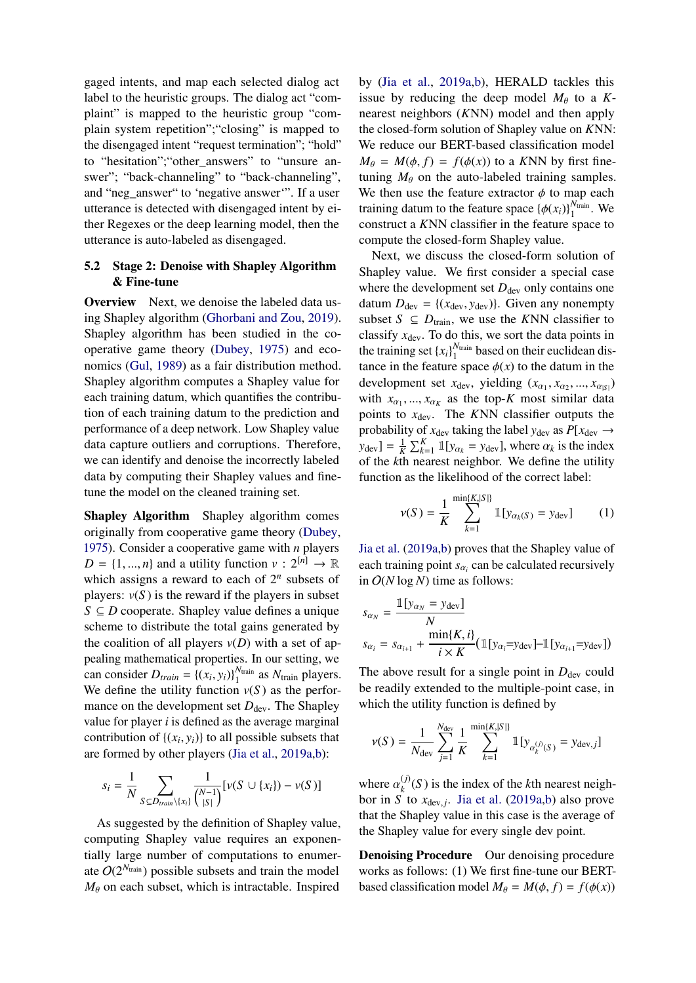gaged intents, and map each selected dialog act label to the heuristic groups. The dialog act "complaint" is mapped to the heuristic group "complain system repetition";"closing" is mapped to the disengaged intent "request termination"; "hold" to "hesitation"; "other answers" to "unsure answer"; "back-channeling" to "back-channeling", and "neg\_answer" to 'negative answer'". If a user utterance is detected with disengaged intent by either Regexes or the deep learning model, then the utterance is auto-labeled as disengaged.

# 5.2 Stage 2: Denoise with Shapley Algorithm & Fine-tune

Overview Next, we denoise the labeled data using Shapley algorithm [\(Ghorbani and Zou,](#page-9-16) [2019\)](#page-9-16). Shapley algorithm has been studied in the cooperative game theory [\(Dubey,](#page-9-18) [1975\)](#page-9-18) and economics [\(Gul,](#page-9-19) [1989\)](#page-9-19) as a fair distribution method. Shapley algorithm computes a Shapley value for each training datum, which quantifies the contribution of each training datum to the prediction and performance of a deep network. Low Shapley value data capture outliers and corruptions. Therefore, we can identify and denoise the incorrectly labeled data by computing their Shapley values and finetune the model on the cleaned training set.

Shapley Algorithm Shapley algorithm comes originally from cooperative game theory [\(Dubey,](#page-9-18) [1975\)](#page-9-18). Consider a cooperative game with *n* players  $D = \{1, ..., n\}$  and a utility function  $v : 2^{[n]} \rightarrow \mathbb{R}$ which assigns a reward to each of  $2^n$  subsets of players:  $v(S)$  is the reward if the players in subset *S* ⊆ *D* cooperate. Shapley value defines a unique scheme to distribute the total gains generated by the coalition of all players  $v(D)$  with a set of appealing mathematical properties. In our setting, we can consider  $D_{train} = \{(x_i, y_i)\}_1^{N_{train}}$ <br>We define the utility function  $y_i$  $_1^{\prime \text{train}}$  as  $N_{\text{train}}$  players. We define the utility function  $v(S)$  as the performance on the development set  $D_{\text{dev}}$ . The Shapley value for player *i* is defined as the average marginal contribution of  $\{(x_i, y_i)\}\)$  to all possible subsets that are formed by other players (*lig at al. 2019a b)*. are formed by other players [\(Jia et al.,](#page-9-1) [2019a,](#page-9-1)[b\)](#page-9-2):

$$
s_i = \frac{1}{N} \sum_{S \subseteq D_{train} \setminus \{x_i\}} \frac{1}{\binom{N-1}{|S|}} [\nu(S \cup \{x_i\}) - \nu(S)]
$$

As suggested by the definition of Shapley value, computing Shapley value requires an exponentially large number of computations to enumerate  $O(2^{N_{\text{train}}} )$  possible subsets and train the model  $M_{\theta}$  on each subset, which is intractable. Inspired

by [\(Jia et al.,](#page-9-1) [2019a](#page-9-1)[,b\)](#page-9-2), HERALD tackles this issue by reducing the deep model  $M_{\theta}$  to a *K*nearest neighbors (*K*NN) model and then apply the closed-form solution of Shapley value on *K*NN: We reduce our BERT-based classification model  $M_{\theta} = M(\phi, f) = f(\phi(x))$  to a *KNN* by first finetuning  $M_{\theta}$  on the auto-labeled training samples. We then use the feature extractor  $\phi$  to map each training datum to the feature space  $\{\phi(x_i)\}_1^{N_{\text{train}}}$  $\frac{1}{1}$ <sup>TV</sup>train. We construct a *K*NN classifier in the feature space to compute the closed-form Shapley value.

Next, we discuss the closed-form solution of Shapley value. We first consider a special case where the development set  $D_{\text{dev}}$  only contains one datum  $D_{\text{dev}} = \{(x_{\text{dev}}, y_{\text{dev}})\}\$ . Given any nonempty subset  $S \subseteq D_{\text{train}}$ , we use the *KNN* classifier to classify  $x_{\text{dev}}$ . To do this, we sort the data points in the training set  $\{x_i\}$ <sup>Ntrain</sup>  $_1^{\prime \text{Vtrain}}$  based on their euclidean distance in the feature space  $\phi(x)$  to the datum in the development set  $x_{\text{dev}}$ , yielding  $(x_{\alpha_1}, x_{\alpha_2}, ..., x_{\alpha_{|S|}})$ with  $x_{\alpha_1},...,x_{\alpha_K}$  as the top-*K* most similar data<br>points to  $x_i$ . The *KNN* classifier outputs the points to *x*dev. The *K*NN classifier outputs the probability of  $x_{\text{dev}}$  taking the label  $y_{\text{dev}}$  as  $P[x_{\text{dev}} \rightarrow$  $y_{\text{dev}} = \frac{1}{K} \sum_{k=1}^{K} \mathbb{1}[y_{\alpha_k} = y_{\text{dev}}]$ , where  $\alpha_k$  is the index of the *k*th negrect neighbor. We define the utility of the *k*th nearest neighbor. We define the utility function as the likelihood of the correct label:

$$
\nu(S) = \frac{1}{K} \sum_{k=1}^{\min\{K, |S|\}} \mathbb{1}[y_{\alpha_k(S)} = y_{\text{dev}}] \tag{1}
$$

[Jia et al.](#page-9-1) [\(2019a](#page-9-1)[,b\)](#page-9-2) proves that the Shapley value of each training point  $s_{\alpha_i}$  can be calculated recursively<br>in  $O(N \log N)$  time as follows: in  $O(N \log N)$  time as follows:

$$
s_{\alpha_N} = \frac{\mathbb{1}[y_{\alpha_N} = y_{\text{dev}}]}{N}
$$
  

$$
s_{\alpha_i} = s_{\alpha_{i+1}} + \frac{\min\{K, i\}}{i \times K} (\mathbb{1}[y_{\alpha_i} = y_{\text{dev}}] - \mathbb{1}[y_{\alpha_{i+1}} = y_{\text{dev}}])
$$

The above result for a single point in  $D_{\text{dev}}$  could be readily extended to the multiple-point case, in which the utility function is defined by

$$
\nu(S) = \frac{1}{N_{\text{dev}}} \sum_{j=1}^{N_{\text{dev}}} \frac{1}{K} \sum_{k=1}^{\min\{K, |S|\}} \mathbb{1}_{\{y_{\alpha_k^{(j)}(S)} = y_{\text{dev},j}\}}
$$

where  $\alpha_k^{(j)}$ <br>bor in S<sup>t</sup>  $\binom{f}{k}(S)$  is the index of the *k*th nearest neighbor in *S* to  $x_{\text{dev},j}$ . [Jia et al.](#page-9-1) [\(2019a](#page-9-1)[,b\)](#page-9-2) also prove<br>that the Sharlow value in this associate a survey of that the Shapley value in this case is the average of the Shapley value for every single dev point.

Denoising Procedure Our denoising procedure works as follows: (1) We first fine-tune our BERTbased classification model  $M_{\theta} = M(\phi, f) = f(\phi(x))$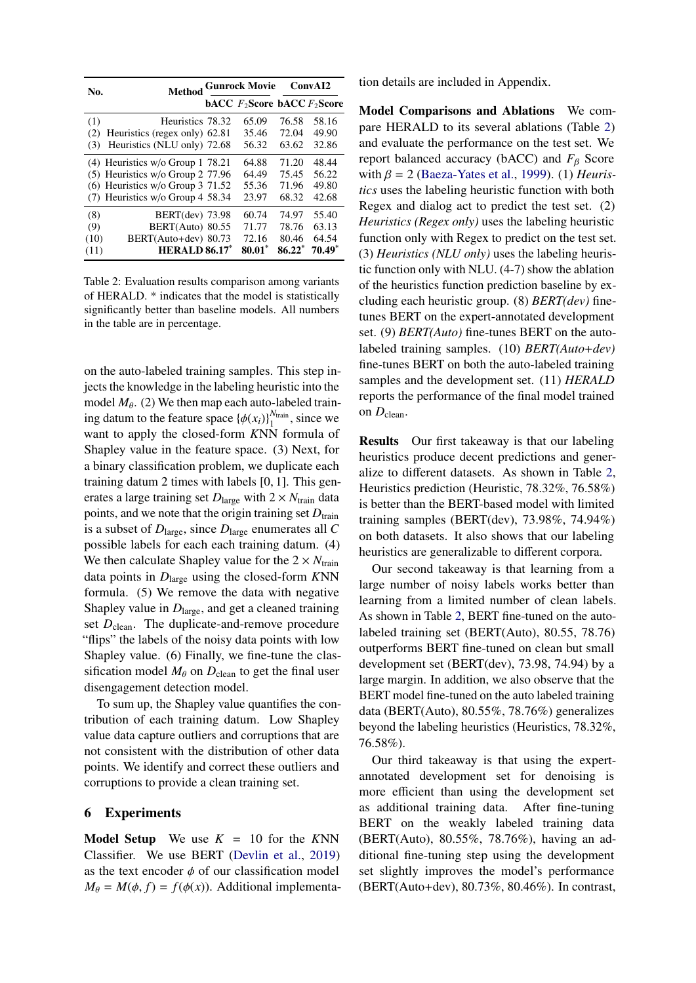<span id="page-6-0"></span>

| No.  |                                    | <b>Method Gunrock Movie</b> |                                                 | ConvAI2  |          |
|------|------------------------------------|-----------------------------|-------------------------------------------------|----------|----------|
|      |                                    |                             | <b>bACC</b> $F_2$ Score <b>bACC</b> $F_2$ Score |          |          |
| (1)  | Heuristics 78.32                   |                             | 65.09                                           | 76.58    | 58.16    |
| (2)  | Heuristics (regex only) 62.81      |                             | 35.46                                           | 72.04    | 49.90    |
| (3)  | Heuristics (NLU only) 72.68        |                             | 56.32                                           | 63.62    | 32.86    |
|      | $(4)$ Heuristics w/o Group 1 78.21 |                             | 64.88                                           | 71.20    | 48.44    |
|      | $(5)$ Heuristics w/o Group 2 77.96 |                             | 64.49                                           | 75.45    | 56.22    |
|      | $(6)$ Heuristics w/o Group 3 71.52 |                             | 55.36                                           | 71.96    | 49.80    |
|      | $(7)$ Heuristics w/o Group 4 58.34 |                             | 23.97                                           | 68.32    | 42.68    |
| (8)  | BERT(dev) 73.98                    |                             | 60.74                                           | 74.97    | 55.40    |
| (9)  | BERT(Auto) 80.55                   |                             | 71.77                                           | 78.76    | 63.13    |
| (10) | BERT(Auto+dev) 80.73               |                             | 72.16                                           | 80.46    | 64.54    |
| (11) | <b>HERALD 86.17*</b>               |                             | $80.01*$                                        | $86.22*$ | $70.49*$ |

Table 2: Evaluation results comparison among variants of HERALD. \* indicates that the model is statistically significantly better than baseline models. All numbers in the table are in percentage.

on the auto-labeled training samples. This step injects the knowledge in the labeling heuristic into the model  $M_{\theta}$ . (2) We then map each auto-labeled training datum to the feature space  $\{\phi(x_i)\}_1^{N_{\text{train}}}$  $_1^{\prime \text{Vtrain}}$ , since we want to apply the closed-form *K*NN formula of Shapley value in the feature space. (3) Next, for a binary classification problem, we duplicate each training datum <sup>2</sup> times with labels [0, 1]. This generates a large training set  $D<sub>large</sub>$  with  $2 \times N<sub>train</sub>$  data points, and we note that the origin training set  $D<sub>train</sub>$ is a subset of *D*large, since *D*large enumerates all *C* possible labels for each each training datum. (4) We then calculate Shapley value for the  $2 \times N_{\text{train}}$ data points in *D*large using the closed-form *K*NN formula. (5) We remove the data with negative Shapley value in  $D<sub>large</sub>$ , and get a cleaned training set  $D_{clean}$ . The duplicate-and-remove procedure "flips" the labels of the noisy data points with low Shapley value. (6) Finally, we fine-tune the classification model  $M_\theta$  on  $D_{clean}$  to get the final user disengagement detection model.

To sum up, the Shapley value quantifies the contribution of each training datum. Low Shapley value data capture outliers and corruptions that are not consistent with the distribution of other data points. We identify and correct these outliers and corruptions to provide a clean training set.

#### 6 Experiments

**Model Setup** We use  $K = 10$  for the *KNN* Classifier. We use BERT [\(Devlin et al.,](#page-9-12) [2019\)](#page-9-12) as the text encoder  $\phi$  of our classification model  $M_{\theta} = M(\phi, f) = f(\phi(x))$ . Additional implementation details are included in Appendix.

Model Comparisons and Ablations We compare HERALD to its several ablations (Table [2\)](#page-6-0) and evaluate the performance on the test set. We report balanced accuracy (bACC) and  $F_\beta$  Score with β <sup>=</sup> <sup>2</sup> [\(Baeza-Yates et al.,](#page-8-2) [1999\)](#page-8-2). (1) *Heuristics* uses the labeling heuristic function with both Regex and dialog act to predict the test set. (2) *Heuristics (Regex only)* uses the labeling heuristic function only with Regex to predict on the test set. (3) *Heuristics (NLU only)* uses the labeling heuristic function only with NLU. (4-7) show the ablation of the heuristics function prediction baseline by excluding each heuristic group. (8) *BERT(dev)* finetunes BERT on the expert-annotated development set. (9) *BERT(Auto)* fine-tunes BERT on the autolabeled training samples. (10) *BERT(Auto*+*dev)* fine-tunes BERT on both the auto-labeled training samples and the development set. (11) *HERALD* reports the performance of the final model trained on *D*clean.

Results Our first takeaway is that our labeling heuristics produce decent predictions and generalize to different datasets. As shown in Table [2,](#page-6-0) Heuristics prediction (Heuristic, 78.32%, 76.58%) is better than the BERT-based model with limited training samples (BERT(dev), 73.98%, 74.94%) on both datasets. It also shows that our labeling heuristics are generalizable to different corpora.

Our second takeaway is that learning from a large number of noisy labels works better than learning from a limited number of clean labels. As shown in Table [2,](#page-6-0) BERT fine-tuned on the autolabeled training set (BERT(Auto), 80.55, 78.76) outperforms BERT fine-tuned on clean but small development set (BERT(dev), 73.98, 74.94) by a large margin. In addition, we also observe that the BERT model fine-tuned on the auto labeled training data (BERT(Auto), 80.55%, 78.76%) generalizes beyond the labeling heuristics (Heuristics, 78.32%, 76.58%).

Our third takeaway is that using the expertannotated development set for denoising is more efficient than using the development set as additional training data. After fine-tuning BERT on the weakly labeled training data (BERT(Auto), 80.55%, 78.76%), having an additional fine-tuning step using the development set slightly improves the model's performance (BERT(Auto+dev), 80.73%, 80.46%). In contrast,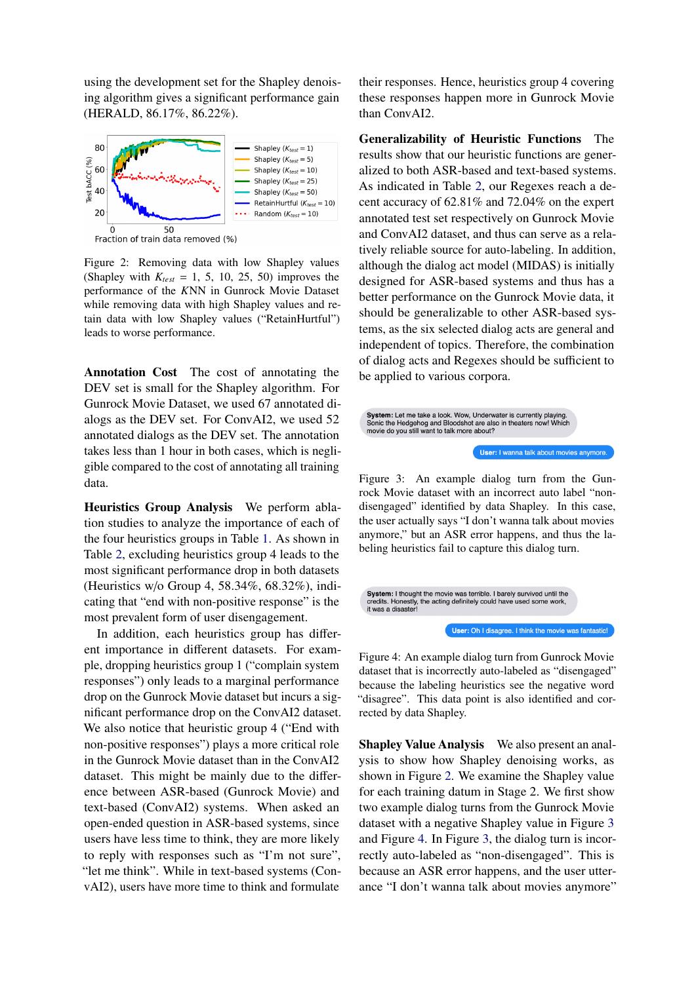using the development set for the Shapley denoising algorithm gives a significant performance gain (HERALD, 86.17%, 86.22%).

<span id="page-7-0"></span>

Figure 2: Removing data with low Shapley values (Shapley with  $K_{test} = 1, 5, 10, 25, 50$ ) improves the performance of the *K*NN in Gunrock Movie Dataset while removing data with high Shapley values and retain data with low Shapley values ("RetainHurtful") leads to worse performance.

Annotation Cost The cost of annotating the DEV set is small for the Shapley algorithm. For Gunrock Movie Dataset, we used 67 annotated dialogs as the DEV set. For ConvAI2, we used 52 annotated dialogs as the DEV set. The annotation takes less than 1 hour in both cases, which is negligible compared to the cost of annotating all training data.

Heuristics Group Analysis We perform ablation studies to analyze the importance of each of the four heuristics groups in Table [1.](#page-3-0) As shown in Table [2,](#page-6-0) excluding heuristics group 4 leads to the most significant performance drop in both datasets (Heuristics w/o Group 4, 58.34%, 68.32%), indicating that "end with non-positive response" is the most prevalent form of user disengagement.

In addition, each heuristics group has different importance in different datasets. For example, dropping heuristics group 1 ("complain system responses") only leads to a marginal performance drop on the Gunrock Movie dataset but incurs a significant performance drop on the ConvAI2 dataset. We also notice that heuristic group 4 ("End with non-positive responses") plays a more critical role in the Gunrock Movie dataset than in the ConvAI2 dataset. This might be mainly due to the difference between ASR-based (Gunrock Movie) and text-based (ConvAI2) systems. When asked an open-ended question in ASR-based systems, since users have less time to think, they are more likely to reply with responses such as "I'm not sure", "let me think". While in text-based systems (ConvAI2), users have more time to think and formulate

their responses. Hence, heuristics group 4 covering these responses happen more in Gunrock Movie than ConvAI2.

Generalizability of Heuristic Functions The results show that our heuristic functions are generalized to both ASR-based and text-based systems. As indicated in Table [2,](#page-6-0) our Regexes reach a decent accuracy of 62.81% and 72.04% on the expert annotated test set respectively on Gunrock Movie and ConvAI2 dataset, and thus can serve as a relatively reliable source for auto-labeling. In addition, although the dialog act model (MIDAS) is initially designed for ASR-based systems and thus has a better performance on the Gunrock Movie data, it should be generalizable to other ASR-based systems, as the six selected dialog acts are general and independent of topics. Therefore, the combination of dialog acts and Regexes should be sufficient to be applied to various corpora.

<span id="page-7-1"></span>

User: I wanna talk about movies anymore.

Figure 3: An example dialog turn from the Gunrock Movie dataset with an incorrect auto label "nondisengaged" identified by data Shapley. In this case, the user actually says "I don't wanna talk about movies anymore," but an ASR error happens, and thus the labeling heuristics fail to capture this dialog turn.

<span id="page-7-2"></span>System: I thought the movie was terrible. I barely survived until the credits. Honestly, the acting definitely could have used some work, it was a disaster

User: Oh I disagree. I think the movie was fantastic!

Figure 4: An example dialog turn from Gunrock Movie dataset that is incorrectly auto-labeled as "disengaged" because the labeling heuristics see the negative word "disagree". This data point is also identified and corrected by data Shapley.

Shapley Value Analysis We also present an analysis to show how Shapley denoising works, as shown in Figure [2.](#page-7-0) We examine the Shapley value for each training datum in Stage 2. We first show two example dialog turns from the Gunrock Movie dataset with a negative Shapley value in Figure [3](#page-7-1) and Figure [4.](#page-7-2) In Figure [3,](#page-7-1) the dialog turn is incorrectly auto-labeled as "non-disengaged". This is because an ASR error happens, and the user utterance "I don't wanna talk about movies anymore"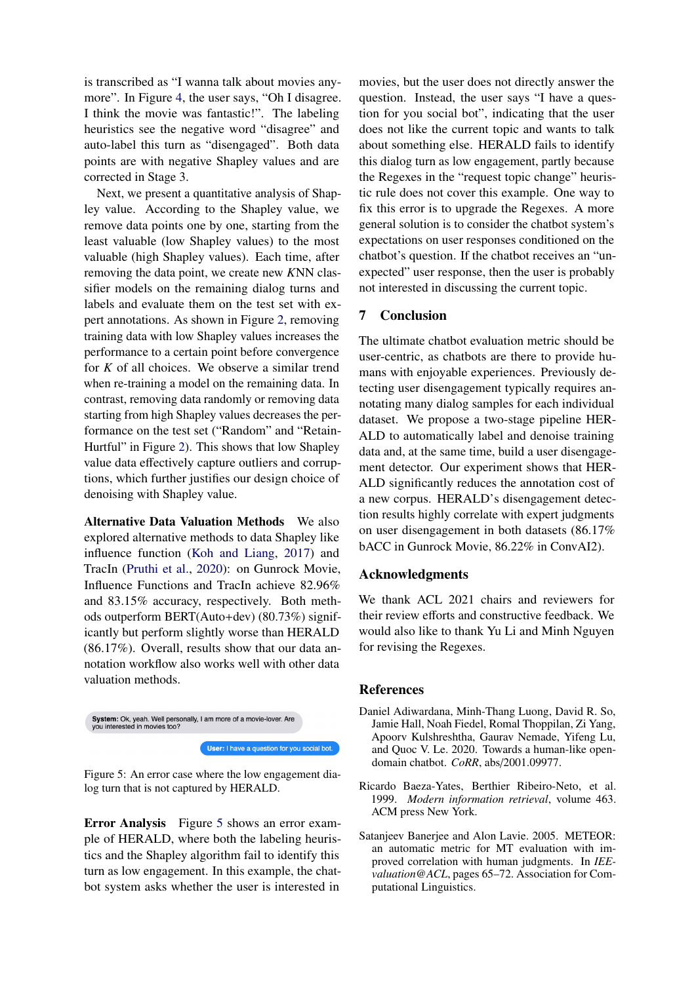is transcribed as "I wanna talk about movies anymore". In Figure [4,](#page-7-2) the user says, "Oh I disagree. I think the movie was fantastic!". The labeling heuristics see the negative word "disagree" and auto-label this turn as "disengaged". Both data points are with negative Shapley values and are corrected in Stage 3.

Next, we present a quantitative analysis of Shapley value. According to the Shapley value, we remove data points one by one, starting from the least valuable (low Shapley values) to the most valuable (high Shapley values). Each time, after removing the data point, we create new *K*NN classifier models on the remaining dialog turns and labels and evaluate them on the test set with expert annotations. As shown in Figure [2,](#page-7-0) removing training data with low Shapley values increases the performance to a certain point before convergence for *K* of all choices. We observe a similar trend when re-training a model on the remaining data. In contrast, removing data randomly or removing data starting from high Shapley values decreases the performance on the test set ("Random" and "Retain-Hurtful" in Figure [2\)](#page-7-0). This shows that low Shapley value data effectively capture outliers and corruptions, which further justifies our design choice of denoising with Shapley value.

Alternative Data Valuation Methods We also explored alternative methods to data Shapley like influence function [\(Koh and Liang,](#page-9-20) [2017\)](#page-9-20) and TracIn [\(Pruthi et al.,](#page-10-18) [2020\)](#page-10-18): on Gunrock Movie, Influence Functions and TracIn achieve 82.96% and 83.15% accuracy, respectively. Both methods outperform BERT(Auto+dev) (80.73%) significantly but perform slightly worse than HERALD (86.17%). Overall, results show that our data annotation workflow also works well with other data valuation methods.

<span id="page-8-3"></span>

Figure 5: An error case where the low engagement dialog turn that is not captured by HERALD.

Error Analysis Figure [5](#page-8-3) shows an error example of HERALD, where both the labeling heuristics and the Shapley algorithm fail to identify this turn as low engagement. In this example, the chatbot system asks whether the user is interested in

movies, but the user does not directly answer the question. Instead, the user says "I have a question for you social bot", indicating that the user does not like the current topic and wants to talk about something else. HERALD fails to identify this dialog turn as low engagement, partly because the Regexes in the "request topic change" heuristic rule does not cover this example. One way to fix this error is to upgrade the Regexes. A more general solution is to consider the chatbot system's expectations on user responses conditioned on the chatbot's question. If the chatbot receives an "unexpected" user response, then the user is probably not interested in discussing the current topic.

# 7 Conclusion

The ultimate chatbot evaluation metric should be user-centric, as chatbots are there to provide humans with enjoyable experiences. Previously detecting user disengagement typically requires annotating many dialog samples for each individual dataset. We propose a two-stage pipeline HER-ALD to automatically label and denoise training data and, at the same time, build a user disengagement detector. Our experiment shows that HER-ALD significantly reduces the annotation cost of a new corpus. HERALD's disengagement detection results highly correlate with expert judgments on user disengagement in both datasets (86.17% bACC in Gunrock Movie, 86.22% in ConvAI2).

#### Acknowledgments

We thank ACL 2021 chairs and reviewers for their review efforts and constructive feedback. We would also like to thank Yu Li and Minh Nguyen for revising the Regexes.

#### References

- <span id="page-8-1"></span>Daniel Adiwardana, Minh-Thang Luong, David R. So, Jamie Hall, Noah Fiedel, Romal Thoppilan, Zi Yang, Apoorv Kulshreshtha, Gaurav Nemade, Yifeng Lu, and Quoc V. Le. 2020. Towards a human-like opendomain chatbot. *CoRR*, abs/2001.09977.
- <span id="page-8-2"></span>Ricardo Baeza-Yates, Berthier Ribeiro-Neto, et al. 1999. *Modern information retrieval*, volume 463. ACM press New York.
- <span id="page-8-0"></span>Satanjeev Banerjee and Alon Lavie. 2005. METEOR: an automatic metric for MT evaluation with improved correlation with human judgments. In *IEEvaluation@ACL*, pages 65–72. Association for Computational Linguistics.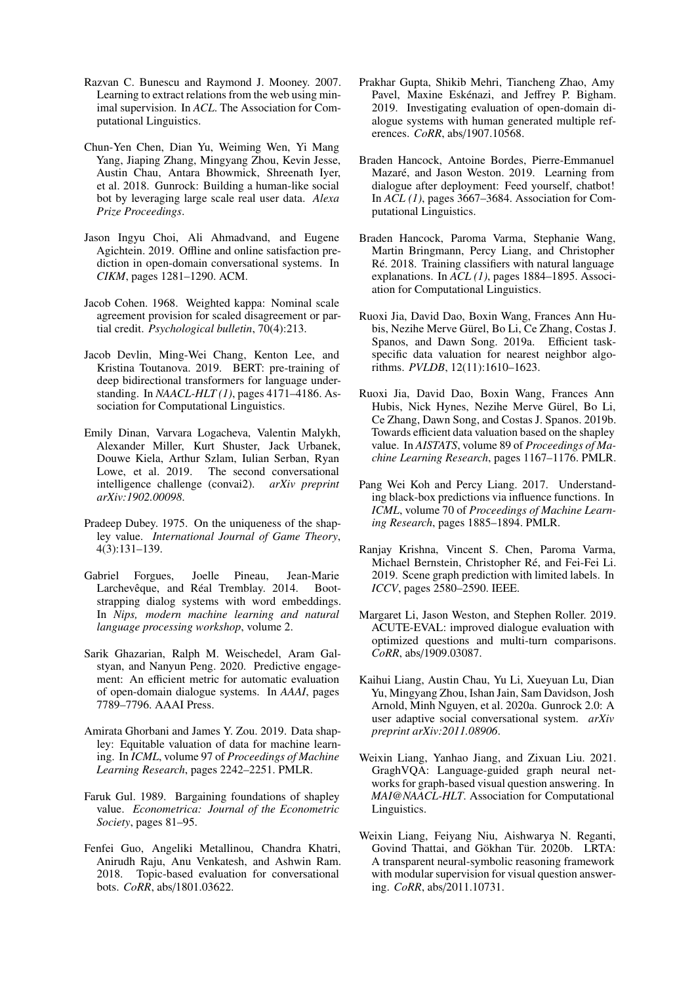- <span id="page-9-9"></span>Razvan C. Bunescu and Raymond J. Mooney. 2007. Learning to extract relations from the web using minimal supervision. In *ACL*. The Association for Computational Linguistics.
- <span id="page-9-17"></span>Chun-Yen Chen, Dian Yu, Weiming Wen, Yi Mang Yang, Jiaping Zhang, Mingyang Zhou, Kevin Jesse, Austin Chau, Antara Bhowmick, Shreenath Iyer, et al. 2018. Gunrock: Building a human-like social bot by leveraging large scale real user data. *Alexa Prize Proceedings*.
- <span id="page-9-3"></span>Jason Ingyu Choi, Ali Ahmadvand, and Eugene Agichtein. 2019. Offline and online satisfaction prediction in open-domain conversational systems. In *CIKM*, pages 1281–1290. ACM.
- <span id="page-9-15"></span>Jacob Cohen. 1968. Weighted kappa: Nominal scale agreement provision for scaled disagreement or partial credit. *Psychological bulletin*, 70(4):213.
- <span id="page-9-12"></span>Jacob Devlin, Ming-Wei Chang, Kenton Lee, and Kristina Toutanova. 2019. BERT: pre-training of deep bidirectional transformers for language understanding. In *NAACL-HLT (1)*, pages 4171–4186. Association for Computational Linguistics.
- <span id="page-9-14"></span>Emily Dinan, Varvara Logacheva, Valentin Malykh, Alexander Miller, Kurt Shuster, Jack Urbanek, Douwe Kiela, Arthur Szlam, Iulian Serban, Ryan Lowe, et al. 2019. The second conversational intelligence challenge (convai2). *arXiv preprint arXiv:1902.00098*.
- <span id="page-9-18"></span>Pradeep Dubey. 1975. On the uniqueness of the shapley value. *International Journal of Game Theory*, 4(3):131–139.
- <span id="page-9-5"></span>Gabriel Forgues, Joelle Pineau, Jean-Marie Larchevêque, and Réal Tremblay. 2014. Bootstrapping dialog systems with word embeddings. In *Nips, modern machine learning and natural language processing workshop*, volume 2.
- <span id="page-9-0"></span>Sarik Ghazarian, Ralph M. Weischedel, Aram Galstyan, and Nanyun Peng. 2020. Predictive engagement: An efficient metric for automatic evaluation of open-domain dialogue systems. In *AAAI*, pages 7789–7796. AAAI Press.
- <span id="page-9-16"></span>Amirata Ghorbani and James Y. Zou. 2019. Data shapley: Equitable valuation of data for machine learning. In *ICML*, volume 97 of *Proceedings of Machine Learning Research*, pages 2242–2251. PMLR.
- <span id="page-9-19"></span>Faruk Gul. 1989. Bargaining foundations of shapley value. *Econometrica: Journal of the Econometric Society*, pages 81–95.
- <span id="page-9-8"></span>Fenfei Guo, Angeliki Metallinou, Chandra Khatri, Anirudh Raju, Anu Venkatesh, and Ashwin Ram. 2018. Topic-based evaluation for conversational bots. *CoRR*, abs/1801.03622.
- <span id="page-9-4"></span>Prakhar Gupta, Shikib Mehri, Tiancheng Zhao, Amy Pavel, Maxine Eskénazi, and Jeffrey P. Bigham. 2019. Investigating evaluation of open-domain dialogue systems with human generated multiple references. *CoRR*, abs/1907.10568.
- <span id="page-9-7"></span>Braden Hancock, Antoine Bordes, Pierre-Emmanuel Mazaré, and Jason Weston. 2019. Learning from dialogue after deployment: Feed yourself, chatbot! In *ACL (1)*, pages 3667–3684. Association for Computational Linguistics.
- <span id="page-9-10"></span>Braden Hancock, Paroma Varma, Stephanie Wang, Martin Bringmann, Percy Liang, and Christopher Ré. 2018. Training classifiers with natural language explanations. In *ACL (1)*, pages 1884–1895. Association for Computational Linguistics.
- <span id="page-9-1"></span>Ruoxi Jia, David Dao, Boxin Wang, Frances Ann Hubis, Nezihe Merve Gürel, Bo Li, Ce Zhang, Costas J. Spanos, and Dawn Song. 2019a. Efficient taskspecific data valuation for nearest neighbor algorithms. *PVLDB*, 12(11):1610–1623.
- <span id="page-9-2"></span>Ruoxi Jia, David Dao, Boxin Wang, Frances Ann Hubis, Nick Hynes, Nezihe Merve Gürel, Bo Li, Ce Zhang, Dawn Song, and Costas J. Spanos. 2019b. Towards efficient data valuation based on the shapley value. In *AISTATS*, volume 89 of *Proceedings of Machine Learning Research*, pages 1167–1176. PMLR.
- <span id="page-9-20"></span>Pang Wei Koh and Percy Liang. 2017. Understanding black-box predictions via influence functions. In *ICML*, volume 70 of *Proceedings of Machine Learning Research*, pages 1885–1894. PMLR.
- <span id="page-9-11"></span>Ranjay Krishna, Vincent S. Chen, Paroma Varma, Michael Bernstein, Christopher Ré, and Fei-Fei Li. 2019. Scene graph prediction with limited labels. In *ICCV*, pages 2580–2590. IEEE.
- <span id="page-9-6"></span>Margaret Li, Jason Weston, and Stephen Roller. 2019. ACUTE-EVAL: improved dialogue evaluation with optimized questions and multi-turn comparisons. *CoRR*, abs/1909.03087.
- <span id="page-9-13"></span>Kaihui Liang, Austin Chau, Yu Li, Xueyuan Lu, Dian Yu, Mingyang Zhou, Ishan Jain, Sam Davidson, Josh Arnold, Minh Nguyen, et al. 2020a. Gunrock 2.0: A user adaptive social conversational system. *arXiv preprint arXiv:2011.08906*.
- <span id="page-9-22"></span>Weixin Liang, Yanhao Jiang, and Zixuan Liu. 2021. GraghVQA: Language-guided graph neural networks for graph-based visual question answering. In *MAI@NAACL-HLT*. Association for Computational Linguistics.
- <span id="page-9-21"></span>Weixin Liang, Feiyang Niu, Aishwarya N. Reganti, Govind Thattai, and Gökhan Tür. 2020b. LRTA: A transparent neural-symbolic reasoning framework with modular supervision for visual question answering. *CoRR*, abs/2011.10731.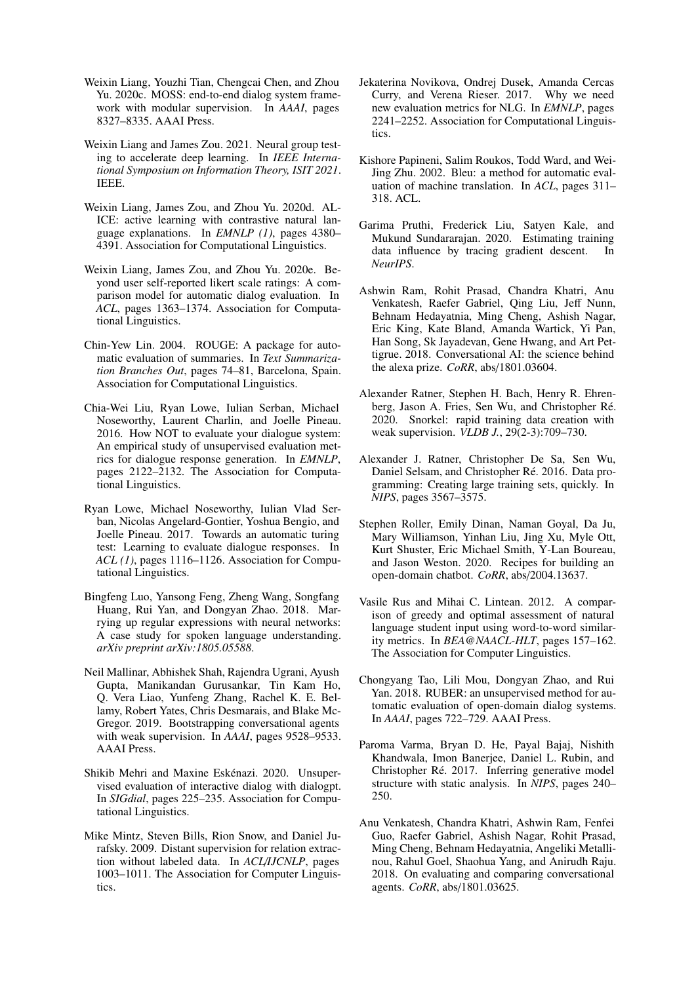- <span id="page-10-19"></span>Weixin Liang, Youzhi Tian, Chengcai Chen, and Zhou Yu. 2020c. MOSS: end-to-end dialog system framework with modular supervision. In *AAAI*, pages 8327–8335. AAAI Press.
- <span id="page-10-20"></span>Weixin Liang and James Zou. 2021. Neural group testing to accelerate deep learning. In *IEEE International Symposium on Information Theory, ISIT 2021*. IEEE.
- <span id="page-10-21"></span>Weixin Liang, James Zou, and Zhou Yu. 2020d. AL-ICE: active learning with contrastive natural language explanations. In *EMNLP (1)*, pages 4380– 4391. Association for Computational Linguistics.
- <span id="page-10-1"></span>Weixin Liang, James Zou, and Zhou Yu. 2020e. Beyond user self-reported likert scale ratings: A comparison model for automatic dialog evaluation. In *ACL*, pages 1363–1374. Association for Computational Linguistics.
- <span id="page-10-6"></span>Chin-Yew Lin. 2004. ROUGE: A package for automatic evaluation of summaries. In *Text Summarization Branches Out*, pages 74–81, Barcelona, Spain. Association for Computational Linguistics.
- <span id="page-10-0"></span>Chia-Wei Liu, Ryan Lowe, Iulian Serban, Michael Noseworthy, Laurent Charlin, and Joelle Pineau. 2016. How NOT to evaluate your dialogue system: An empirical study of unsupervised evaluation metrics for dialogue response generation. In *EMNLP*, pages 2122–2132. The Association for Computational Linguistics.
- <span id="page-10-3"></span>Ryan Lowe, Michael Noseworthy, Iulian Vlad Serban, Nicolas Angelard-Gontier, Yoshua Bengio, and Joelle Pineau. 2017. Towards an automatic turing test: Learning to evaluate dialogue responses. In *ACL (1)*, pages 1116–1126. Association for Computational Linguistics.
- <span id="page-10-17"></span>Bingfeng Luo, Yansong Feng, Zheng Wang, Songfang Huang, Rui Yan, and Dongyan Zhao. 2018. Marrying up regular expressions with neural networks: A case study for spoken language understanding. *arXiv preprint arXiv:1805.05588*.
- <span id="page-10-14"></span>Neil Mallinar, Abhishek Shah, Rajendra Ugrani, Ayush Gupta, Manikandan Gurusankar, Tin Kam Ho, Q. Vera Liao, Yunfeng Zhang, Rachel K. E. Bellamy, Robert Yates, Chris Desmarais, and Blake Mc-Gregor. 2019. Bootstrapping conversational agents with weak supervision. In *AAAI*, pages 9528–9533. AAAI Press.
- <span id="page-10-9"></span>Shikib Mehri and Maxine Eskénazi. 2020. Unsupervised evaluation of interactive dialog with dialogpt. In *SIGdial*, pages 225–235. Association for Computational Linguistics.
- <span id="page-10-13"></span>Mike Mintz, Steven Bills, Rion Snow, and Daniel Jurafsky. 2009. Distant supervision for relation extraction without labeled data. In *ACL*/*IJCNLP*, pages 1003–1011. The Association for Computer Linguistics.
- <span id="page-10-4"></span>Jekaterina Novikova, Ondrej Dusek, Amanda Cercas Curry, and Verena Rieser. 2017. Why we need new evaluation metrics for NLG. In *EMNLP*, pages 2241–2252. Association for Computational Linguistics.
- <span id="page-10-5"></span>Kishore Papineni, Salim Roukos, Todd Ward, and Wei-Jing Zhu. 2002. Bleu: a method for automatic evaluation of machine translation. In *ACL*, pages 311– 318. ACL.
- <span id="page-10-18"></span>Garima Pruthi, Frederick Liu, Satyen Kale, and Mukund Sundararajan. 2020. Estimating training data influence by tracing gradient descent. In *NeurIPS*.
- <span id="page-10-2"></span>Ashwin Ram, Rohit Prasad, Chandra Khatri, Anu Venkatesh, Raefer Gabriel, Qing Liu, Jeff Nunn, Behnam Hedayatnia, Ming Cheng, Ashish Nagar, Eric King, Kate Bland, Amanda Wartick, Yi Pan, Han Song, Sk Jayadevan, Gene Hwang, and Art Pettigrue. 2018. Conversational AI: the science behind the alexa prize. *CoRR*, abs/1801.03604.
- <span id="page-10-11"></span>Alexander Ratner, Stephen H. Bach, Henry R. Ehrenberg, Jason A. Fries, Sen Wu, and Christopher Ré. 2020. Snorkel: rapid training data creation with weak supervision. *VLDB J.*, 29(2-3):709–730.
- <span id="page-10-12"></span>Alexander J. Ratner, Christopher De Sa, Sen Wu, Daniel Selsam, and Christopher Ré. 2016. Data programming: Creating large training sets, quickly. In *NIPS*, pages 3567–3575.
- <span id="page-10-16"></span>Stephen Roller, Emily Dinan, Naman Goyal, Da Ju, Mary Williamson, Yinhan Liu, Jing Xu, Myle Ott, Kurt Shuster, Eric Michael Smith, Y-Lan Boureau, and Jason Weston. 2020. Recipes for building an open-domain chatbot. *CoRR*, abs/2004.13637.
- <span id="page-10-7"></span>Vasile Rus and Mihai C. Lintean. 2012. A comparison of greedy and optimal assessment of natural language student input using word-to-word similarity metrics. In *BEA@NAACL-HLT*, pages 157–162. The Association for Computer Linguistics.
- <span id="page-10-8"></span>Chongyang Tao, Lili Mou, Dongyan Zhao, and Rui Yan. 2018. RUBER: an unsupervised method for automatic evaluation of open-domain dialog systems. In *AAAI*, pages 722–729. AAAI Press.
- <span id="page-10-15"></span>Paroma Varma, Bryan D. He, Payal Bajaj, Nishith Khandwala, Imon Banerjee, Daniel L. Rubin, and Christopher Ré. 2017. Inferring generative model structure with static analysis. In *NIPS*, pages 240– 250.
- <span id="page-10-10"></span>Anu Venkatesh, Chandra Khatri, Ashwin Ram, Fenfei Guo, Raefer Gabriel, Ashish Nagar, Rohit Prasad, Ming Cheng, Behnam Hedayatnia, Angeliki Metallinou, Rahul Goel, Shaohua Yang, and Anirudh Raju. 2018. On evaluating and comparing conversational agents. *CoRR*, abs/1801.03625.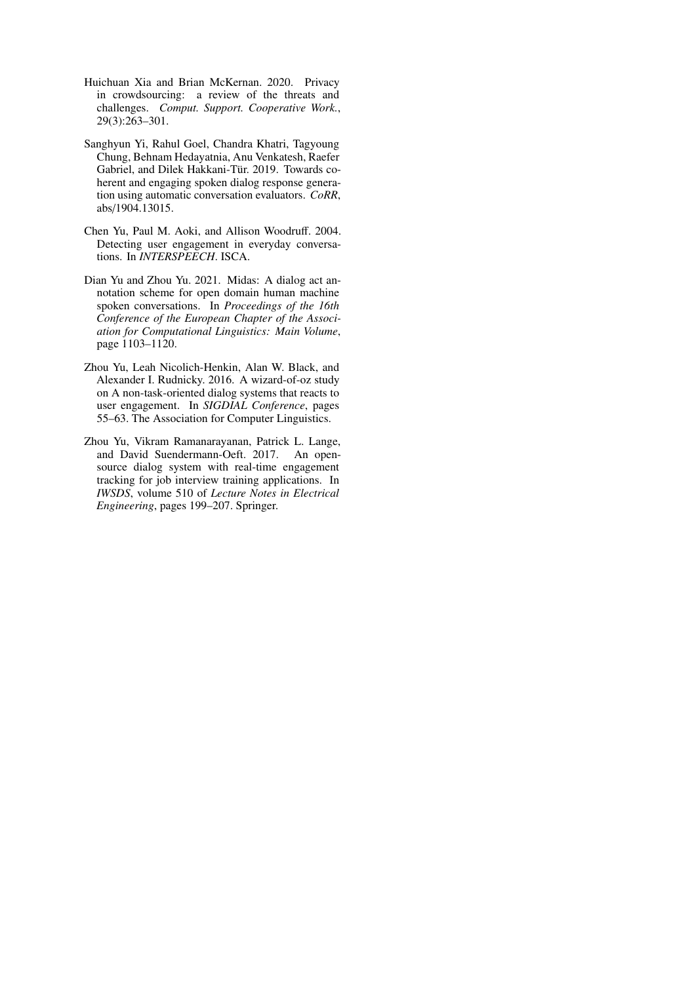- <span id="page-11-1"></span>Huichuan Xia and Brian McKernan. 2020. Privacy in crowdsourcing: a review of the threats and challenges. *Comput. Support. Cooperative Work.*, 29(3):263–301.
- <span id="page-11-3"></span>Sanghyun Yi, Rahul Goel, Chandra Khatri, Tagyoung Chung, Behnam Hedayatnia, Anu Venkatesh, Raefer Gabriel, and Dilek Hakkani-Tür. 2019. Towards coherent and engaging spoken dialog response generation using automatic conversation evaluators. *CoRR*, abs/1904.13015.
- <span id="page-11-4"></span>Chen Yu, Paul M. Aoki, and Allison Woodruff. 2004. Detecting user engagement in everyday conversations. In *INTERSPEECH*. ISCA.
- <span id="page-11-5"></span>Dian Yu and Zhou Yu. 2021. Midas: A dialog act annotation scheme for open domain human machine spoken conversations. In *Proceedings of the 16th Conference of the European Chapter of the Association for Computational Linguistics: Main Volume*, page 1103–1120.
- <span id="page-11-0"></span>Zhou Yu, Leah Nicolich-Henkin, Alan W. Black, and Alexander I. Rudnicky. 2016. A wizard-of-oz study on A non-task-oriented dialog systems that reacts to user engagement. In *SIGDIAL Conference*, pages 55–63. The Association for Computer Linguistics.
- <span id="page-11-2"></span>Zhou Yu, Vikram Ramanarayanan, Patrick L. Lange, and David Suendermann-Oeft. 2017. An opensource dialog system with real-time engagement tracking for job interview training applications. In *IWSDS*, volume 510 of *Lecture Notes in Electrical Engineering*, pages 199–207. Springer.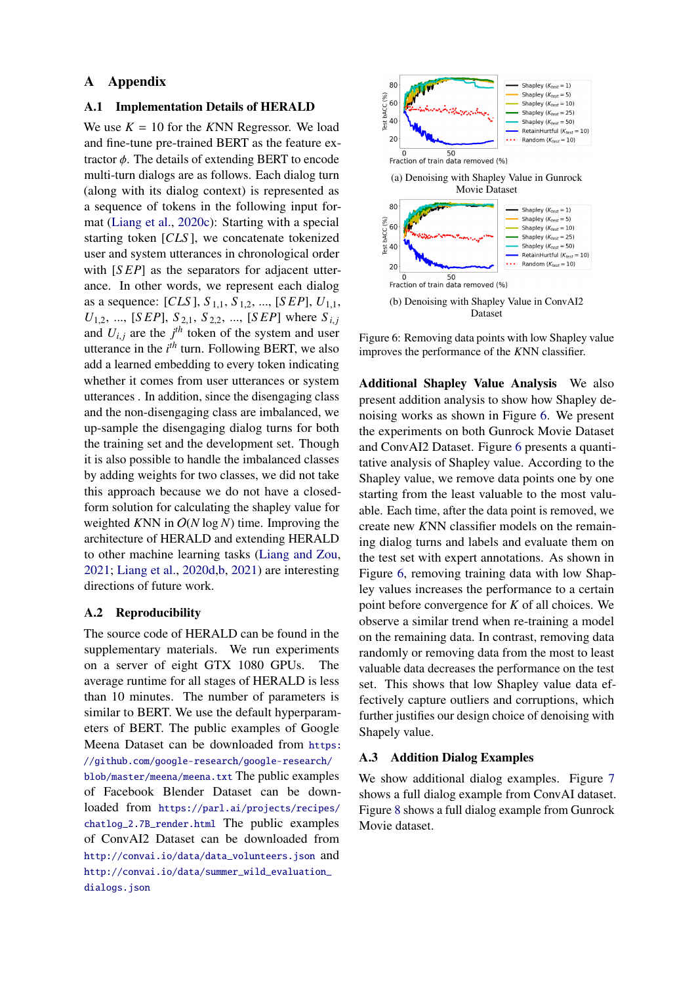### A Appendix

#### A.1 Implementation Details of HERALD

We use  $K = 10$  for the KNN Regressor. We load and fine-tune pre-trained BERT as the feature extractor  $\phi$ . The details of extending BERT to encode multi-turn dialogs are as follows. Each dialog turn (along with its dialog context) is represented as a sequence of tokens in the following input format [\(Liang et al.,](#page-10-19) [2020c\)](#page-10-19): Starting with a special starting token [*CLS* ], we concatenate tokenized user and system utterances in chronological order with  $[SEP]$  as the separators for adjacent utterance. In other words, we represent each dialog as a sequence: [*CLS* ], *<sup>S</sup>* <sup>1</sup>,1, *<sup>S</sup>* <sup>1</sup>,2, ..., [*S EP*], *<sup>U</sup>*1,1,  $U_{1,2}$ , ..., [*S EP*],  $S_{2,1}$ ,  $S_{2,2}$ , ..., [*S EP*] where  $S_{i,j}$ and  $U_{i,j}$  are the  $j^{th}$  token of the system and user utterance in the *i th* turn. Following BERT, we also add a learned embedding to every token indicating whether it comes from user utterances or system utterances . In addition, since the disengaging class and the non-disengaging class are imbalanced, we up-sample the disengaging dialog turns for both the training set and the development set. Though it is also possible to handle the imbalanced classes by adding weights for two classes, we did not take this approach because we do not have a closedform solution for calculating the shapley value for weighted *K*NN in O(*N* log *N*) time. Improving the architecture of HERALD and extending HERALD to other machine learning tasks [\(Liang and Zou,](#page-10-20) [2021;](#page-10-20) [Liang et al.,](#page-10-21) [2020d,](#page-10-21)[b,](#page-9-21) [2021\)](#page-9-22) are interesting directions of future work.

### A.2 Reproducibility

The source code of HERALD can be found in the supplementary materials. We run experiments on a server of eight GTX 1080 GPUs. The average runtime for all stages of HERALD is less than 10 minutes. The number of parameters is similar to BERT. We use the default hyperparameters of BERT. The public examples of Google Meena Dataset can be downloaded from [https:](https://github.com/google-research/google-research/blob/master/meena/meena.txt) [//github.com/google-research/google-research/](https://github.com/google-research/google-research/blob/master/meena/meena.txt) [blob/master/meena/meena.txt](https://github.com/google-research/google-research/blob/master/meena/meena.txt) The public examples of Facebook Blender Dataset can be downloaded from [https://parl.ai/projects/recipes/](https://parl.ai/projects/recipes/chatlog_2.7B_render.html) [chatlog\\_2.7B\\_render.html](https://parl.ai/projects/recipes/chatlog_2.7B_render.html) The public examples of ConvAI2 Dataset can be downloaded from [http://convai.io/data/data\\_volunteers.json](http://convai.io/data/data_volunteers.json) and [http://convai.io/data/summer\\_wild\\_evaluation\\_](http://convai.io/data/summer_wild_evaluation_dialogs.json) [dialogs.json](http://convai.io/data/summer_wild_evaluation_dialogs.json)

<span id="page-12-0"></span>

Figure 6: Removing data points with low Shapley value improves the performance of the *K*NN classifier.

Additional Shapley Value Analysis We also present addition analysis to show how Shapley denoising works as shown in Figure [6.](#page-12-0) We present the experiments on both Gunrock Movie Dataset and ConvAI2 Dataset. Figure [6](#page-12-0) presents a quantitative analysis of Shapley value. According to the Shapley value, we remove data points one by one starting from the least valuable to the most valuable. Each time, after the data point is removed, we create new *K*NN classifier models on the remaining dialog turns and labels and evaluate them on the test set with expert annotations. As shown in Figure [6,](#page-12-0) removing training data with low Shapley values increases the performance to a certain point before convergence for *K* of all choices. We observe a similar trend when re-training a model on the remaining data. In contrast, removing data randomly or removing data from the most to least valuable data decreases the performance on the test set. This shows that low Shapley value data effectively capture outliers and corruptions, which further justifies our design choice of denoising with Shapely value.

#### A.3 Addition Dialog Examples

We show additional dialog examples. Figure [7](#page-13-0) shows a full dialog example from ConvAI dataset. Figure [8](#page-13-1) shows a full dialog example from Gunrock Movie dataset.